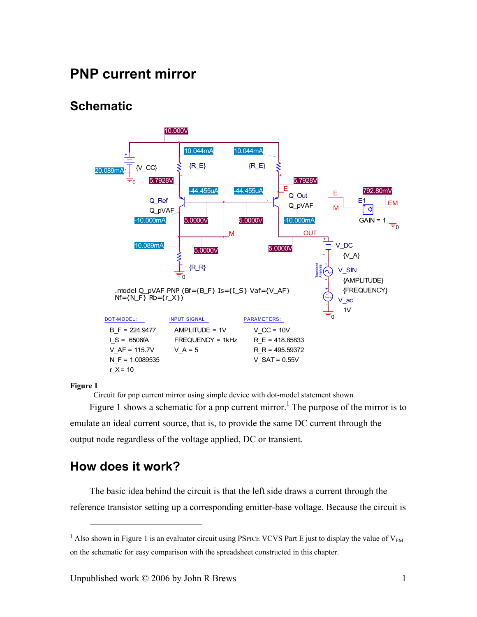# **PNP current mirror**

# **Schematic**

<span id="page-0-0"></span>

#### **Figure 1**

1

Circuit for pnp current mirror using simple device with dot-model statement shown

[Figure 1](#page-0-0) shows a schematic for a pnp current mirror.<sup>[1](#page-0-1)</sup> The purpose of the mirror is to emulate an ideal current source, that is, to provide the same DC current through the output node regardless of the voltage applied, DC or transient.

## **How does it work?**

The basic idea behind the circuit is that the left side draws a current through the reference transistor setting up a corresponding emitter-base voltage. Because the circuit is

<span id="page-0-1"></span><sup>&</sup>lt;sup>1</sup> Also shown in Figure 1 is an evaluator circuit using PSPICE VCVS Part E just to display the value of  $V_{EM}$ on the schematic for easy comparison with the spreadsheet constructed in this chapter.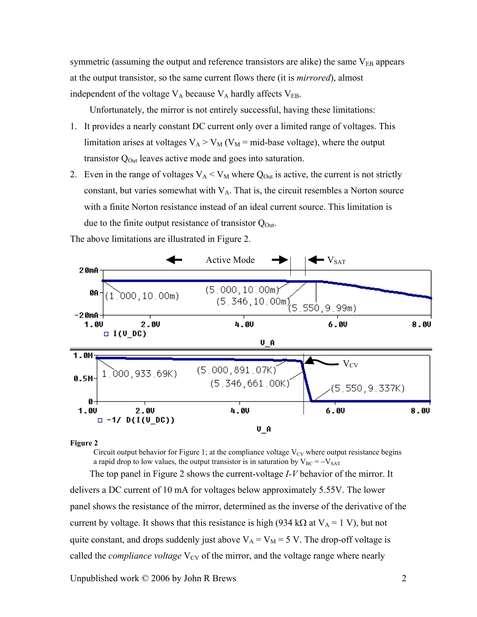symmetric (assuming the output and reference transistors are alike) the same  $V_{EB}$  appears at the output transistor, so the same current flows there (it is *mirrored*), almost independent of the voltage  $V_A$  because  $V_A$  hardly affects  $V_{EB}$ .

Unfortunately, the mirror is not entirely successful, having these limitations:

- 1. It provides a nearly constant DC current only over a limited range of voltages. This limitation arises at voltages  $V_A > V_M$  ( $V_M$  = mid-base voltage), where the output transistor  $Q<sub>Out</sub>$  leaves active mode and goes into saturation.
- 2. Even in the range of voltages  $V_A < V_M$  where  $Q_{Out}$  is active, the current is not strictly constant, but varies somewhat with  $V_A$ . That is, the circuit resembles a Norton source with a finite Norton resistance instead of an ideal current source. This limitation is due to the finite output resistance of transistor  $Q_{\text{Out}}$ .

<span id="page-1-0"></span>

The above limitations are illustrated in [Figure 2.](#page-1-0)

#### **Figure 2**

Circuit output behavior for [Figure 1;](#page-0-0) at the compliance voltage  $V_{CV}$  where output resistance begins a rapid drop to low values, the output transistor is in saturation by  $V_{BC} = -V_{SAT}$ The top panel in [Figure 2](#page-1-0) shows the current-voltage *I-V* behavior of the mirror. It

delivers a DC current of 10 mA for voltages below approximately 5.55V. The lower panel shows the resistance of the mirror, determined as the inverse of the derivative of the current by voltage. It shows that this resistance is high (934 kΩ at  $V_A = 1$  V), but not quite constant, and drops suddenly just above  $V_A = V_M = 5$  V. The drop-off voltage is called the *compliance voltage* V<sub>CV</sub> of the mirror, and the voltage range where nearly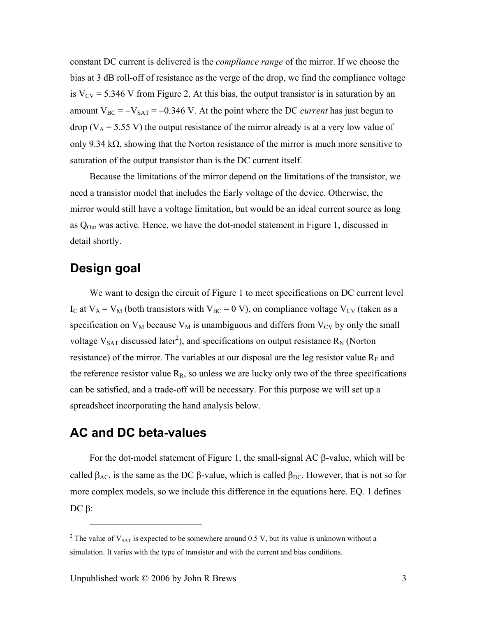constant DC current is delivered is the *compliance range* of the mirror. If we choose the bias at 3 dB roll-off of resistance as the verge of the drop, we find the compliance voltage is  $V_{CV}$  = 5.346 V from [Figure 2.](#page-1-0) At this bias, the output transistor is in saturation by an amount  $V_{BC} = -V_{SAT} = -0.346$  V. At the point where the DC *current* has just begun to drop ( $V_A$  = 5.55 V) the output resistance of the mirror already is at a very low value of only 9.34 k $\Omega$ , showing that the Norton resistance of the mirror is much more sensitive to saturation of the output transistor than is the DC current itself.

Because the limitations of the mirror depend on the limitations of the transistor, we need a transistor model that includes the Early voltage of the device. Otherwise, the mirror would still have a voltage limitation, but would be an ideal current source as long as  $Q<sub>Out</sub>$  was active. Hence, we have the dot-model statement in [Figure 1,](#page-0-0) discussed in detail shortly.

# **Design goal**

1

We want to design the circuit of [Figure 1](#page-0-0) to meet specifications on DC current level I<sub>C</sub> at  $V_A = V_M$  (both transistors with  $V_{BC} = 0$  V), on compliance voltage  $V_{CV}$  (taken as a specification on  $V_M$  because  $V_M$  is unambiguous and differs from  $V_{CV}$  by only the small voltage  $V_{SAT}$  discussed later<sup>2</sup>), and specifications on output resistance  $R_N$  (Norton resistance) of the mirror. The variables at our disposal are the leg resistor value  $R<sub>E</sub>$  and the reference resistor value  $R_R$ , so unless we are lucky only two of the three specifications can be satisfied, and a trade-off will be necessary. For this purpose we will set up a spreadsheet incorporating the hand analysis below.

# **AC and DC beta-values**

For the dot-model statement of [Figure 1,](#page-0-0) the small-signal AC β-value, which will be called  $\beta_{AC}$ , is the same as the DC β-value, which is called  $\beta_{DC}$ . However, that is not so for more complex models, so we include this difference in the equations here. [EQ. 1](#page-3-0) defines DC  $β$ :

<span id="page-2-0"></span><sup>&</sup>lt;sup>2</sup> The value of  $V_{SAT}$  is expected to be somewhere around 0.5 V, but its value is unknown without a simulation. It varies with the type of transistor and with the current and bias conditions.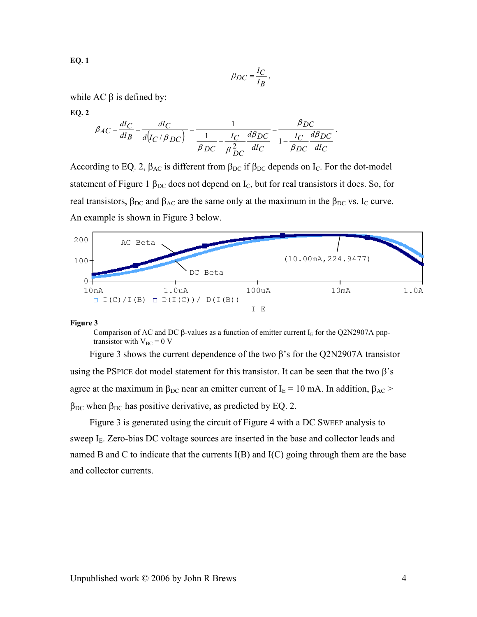<span id="page-3-0"></span>**EQ. 1**

$$
\beta_{DC} = \frac{I_C}{I_B},
$$

.

while  $AC$  β is defined by:

<span id="page-3-1"></span>**EQ. 2**

$$
\beta_{AC} = \frac{dI_C}{dI_B} = \frac{dI_C}{d(I_C / \beta_{DC})} = \frac{1}{\frac{1}{\beta_{DC}} - \frac{I_C}{\beta_{DC}} \frac{d\beta_{DC}}{dI_C}} = \frac{\beta_{DC}}{1 - \frac{I_C}{\beta_{DC}} \frac{d\beta_{DC}}{dI_C}}
$$

According to [EQ. 2,](#page-3-1)  $\beta_{AC}$  is different from  $\beta_{DC}$  if  $\beta_{DC}$  depends on I<sub>C</sub>. For the dot-model statement of [Figure 1](#page-0-0)  $\beta_{DC}$  does not depend on  $I_C$ , but for real transistors it does. So, for real transistors,  $\beta_{DC}$  and  $\beta_{AC}$  are the same only at the maximum in the  $\beta_{DC}$  vs. I<sub>C</sub> curve. An example is shown in [Figure 3](#page-3-2) below.

<span id="page-3-2"></span>

#### **Figure 3**

Comparison of AC and DC β-values as a function of emitter current I<sub>E</sub> for the Q2N2907A pnptransistor with  $V_{BC} = 0$  V

[Figure 3](#page-3-2) shows the current dependence of the two  $\beta$ 's for the Q2N2907A transistor using the PSPICE dot model statement for this transistor. It can be seen that the two  $\beta$ 's agree at the maximum in  $\beta_{DC}$  near an emitter current of I<sub>E</sub> = 10 mA. In addition,  $\beta_{AC}$  >  $β_{DC}$  when  $β_{DC}$  has positive derivative, as predicted by [EQ. 2.](#page-3-1)

[Figure 3](#page-3-2) is generated using the circuit of [Figure 4](#page-4-0) with a DC SWEEP analysis to sweep  $I<sub>E</sub>$ . Zero-bias DC voltage sources are inserted in the base and collector leads and named B and C to indicate that the currents I(B) and I(C) going through them are the base and collector currents.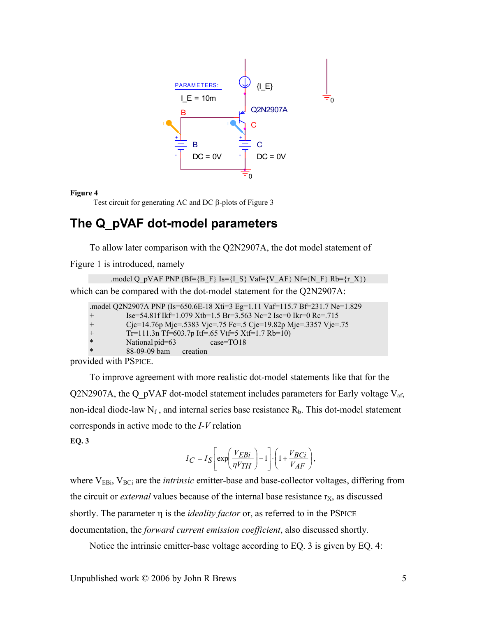<span id="page-4-0"></span>

#### **Figure 4**

Test circuit for generating AC and DC β-plots of [Figure 3](#page-3-2) 

# **The Q\_pVAF dot-model parameters**

To allow later comparison with the Q2N2907A, the dot model statement of

[Figure 1](#page-0-0) is introduced, namely

```
.model Q_pVAF PNP (Bf={B_F} Is={I_S} Vaf={V_AF} Nf={N_F} Rb={r_X})
which can be compared with the dot-model statement for the Q2N2907A:
```

|        | .model Q2N2907A PNP (Is=650.6E-18 Xti=3 Eg=1.11 Vaf=115.7 Bf=231.7 Ne=1.829 |
|--------|-----------------------------------------------------------------------------|
| $+$    | Ise=54.81f Ikf=1.079 Xtb=1.5 Br=3.563 Nc=2 Isc=0 Ikr=0 Rc=.715              |
| $+$    | Cjc=14.76p Mjc=.5383 Vjc=.75 Fc=.5 Cje=19.82p Mje=.3357 Vje=.75             |
| $+$    | Tr=111.3n Tf=603.7p Itf=.65 Vtf=5 Xtf=1.7 Rb=10)                            |
| $\ast$ | National pid=63<br>$case = TO18$                                            |
| $\ast$ | 88-09-09 bam creation                                                       |
|        |                                                                             |

provided with PSPICE.

To improve agreement with more realistic dot-model statements like that for the Q2N2907A, the Q\_pVAF dot-model statement includes parameters for Early voltage  $V_{af}$ , non-ideal diode-law  $N_f$ , and internal series base resistance  $R_b$ . This dot-model statement corresponds in active mode to the *I-V* relation

<span id="page-4-1"></span>**EQ. 3**

$$
I_C = I_S \left[ \exp\left(\frac{V_{EBi}}{\eta V_{TH}}\right) - 1 \right] \cdot \left(1 + \frac{V_{BCi}}{V_{AF}}\right),
$$

where V<sub>EBi</sub>, V<sub>BCi</sub> are the *intrinsic* emitter-base and base-collector voltages, differing from the circuit or *external* values because of the internal base resistance  $r<sub>X</sub>$ , as discussed shortly. The parameter η is the *ideality factor* or, as referred to in the PSPICE documentation, the *forward current emission coefficient*, also discussed shortly*.*

Notice the intrinsic emitter-base voltage according to [EQ. 3](#page-4-1) is given by [EQ. 4:](#page-5-0)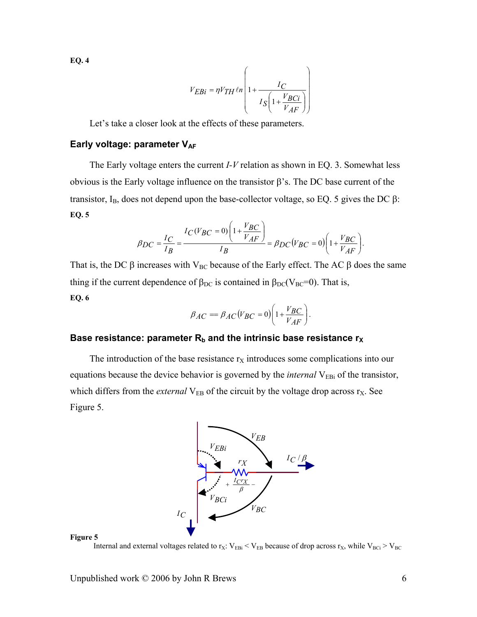<span id="page-5-0"></span>**EQ. 4**

$$
V_{EBi} = \eta V_{TH} \ln \left( 1 + \frac{I_C}{I_S \left( 1 + \frac{V_{BCi}}{V_{AF}} \right)} \right)
$$

Let's take a closer look at the effects of these parameters.

### **Early voltage: parameter VAF**

<span id="page-5-1"></span>The Early voltage enters the current *I-V* relation as shown in [EQ. 3.](#page-4-1) Somewhat less obvious is the Early voltage influence on the transistor β's. The DC base current of the transistor, I<sub>B</sub>, does not depend upon the base-collector voltage, so [EQ. 5](#page-5-1) gives the DC  $\beta$ : **EQ. 5**

$$
\beta_{DC} = \frac{I_C}{I_B} = \frac{I_C (V_{BC} = 0) \left( 1 + \frac{V_{BC}}{V_{AF}} \right)}{I_B} = \beta_{DC} (V_{BC} = 0) \left( 1 + \frac{V_{BC}}{V_{AF}} \right).
$$

That is, the DC  $\beta$  increases with V<sub>BC</sub> because of the Early effect. The AC  $\beta$  does the same thing if the current dependence of  $\beta_{DC}$  is contained in  $\beta_{DC}(V_{BC}=0)$ . That is, **EQ. 6**

$$
\beta_{AC} = \beta_{AC} (V_{BC} = 0) \left( 1 + \frac{V_{BC}}{V_{AF}} \right).
$$

### Base resistance: parameter  $R_b$  and the intrinsic base resistance  $r_X$

The introduction of the base resistance  $r<sub>X</sub>$  introduces some complications into our equations because the device behavior is governed by the *internal* V<sub>EBi</sub> of the transistor, which differs from the *external*  $V_{EB}$  of the circuit by the voltage drop across  $r_X$ . See [Figure 5.](#page-5-2)



<span id="page-5-2"></span>

Internal and external voltages related to  $r_X$ :  $V_{EBi} < V_{EB}$  because of drop across  $r_X$ , while  $V_{BCi} > V_{BC}$ 

Unpublished work  $\odot$  2006 by John R Brews 6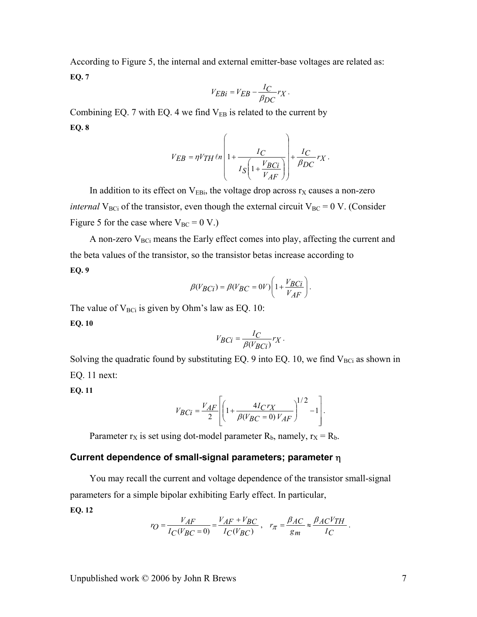<span id="page-6-0"></span>According to [Figure 5,](#page-5-2) the internal and external emitter-base voltages are related as: **EQ. 7**

$$
V_{EBi} = V_{EB} - \frac{I_C}{\beta_{DC}} r_X \,.
$$

Combining [EQ. 7](#page-6-0) with [EQ. 4](#page-5-0) we find  $V_{EB}$  is related to the current by **EQ. 8**

$$
V_{EB} = \eta V_{TH} \ln \left( 1 + \frac{I_C}{I_S \left( 1 + \frac{V_B C i}{V_{AF}} \right)} \right) + \frac{I_C}{\beta_{DC}} r_X.
$$

In addition to its effect on  $V_{EBi}$ , the voltage drop across  $r<sub>X</sub>$  causes a non-zero *internal* V<sub>BCi</sub> of the transistor, even though the external circuit V<sub>BC</sub> = 0 V. (Consider [Figure 5](#page-5-2) for the case where  $V_{BC} = 0 V.$ )

<span id="page-6-2"></span>A non-zero  $V_{BCi}$  means the Early effect comes into play, affecting the current and the beta values of the transistor, so the transistor betas increase according to **EQ. 9**

$$
\beta(V_{BCi}) = \beta(V_{BC} = 0V)\left(1 + \frac{V_{BCi}}{V_{AF}}\right).
$$

The value of  $V_{BCi}$  is given by Ohm's law as [EQ. 10:](#page-6-1)

<span id="page-6-1"></span>**EQ. 10** 

$$
V_{BCi} = \frac{I_C}{\beta(V_{BCi})} r_X \, .
$$

Solving the quadratic found by substituting [EQ. 9](#page-6-2) into [EQ. 10,](#page-6-1) we find  $V_{BCi}$  as shown in [EQ. 11 n](#page-6-3)ext:

<span id="page-6-3"></span>**EQ. 11** 

$$
V_{BCi} = \frac{V_{AF}}{2} \left[ \left( 1 + \frac{4I_C r_X}{\beta (V_{BC} = 0) V_{AF}} \right)^{1/2} - 1 \right].
$$

Parameter  $r_X$  is set using dot-model parameter  $R_b$ , namely,  $r_X = R_b$ .

### **Current dependence of small-signal parameters; parameter** η

You may recall the current and voltage dependence of the transistor small-signal parameters for a simple bipolar exhibiting Early effect. In particular,

<span id="page-6-4"></span>**EQ. 12** 

$$
r_O = \frac{V_{AF}}{I_C(V_{BC} = 0)} = \frac{V_{AF} + V_{BC}}{I_C(V_{BC})}, \quad r_{\pi} = \frac{\beta_{AC}}{g_m} \approx \frac{\beta_{AC}V_{TH}}{I_C}.
$$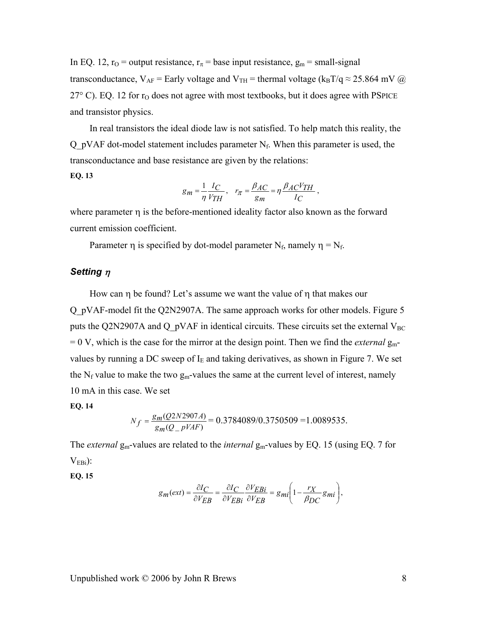In [EQ. 12,](#page-6-4)  $r_0$  = output resistance,  $r_\pi$  = base input resistance,  $g_m$  = small-signal transconductance,  $V_{AF}$  = Early voltage and  $V_{TH}$  = thermal voltage ( $k_B T/q \approx 25.864$  mV @  $27^{\circ}$  C). [EQ. 12 f](#page-6-4)or  $r_{\Omega}$  does not agree with most textbooks, but it does agree with PSPICE and transistor physics.

In real transistors the ideal diode law is not satisfied. To help match this reality, the Q pVAF dot-model statement includes parameter  $N_f$ . When this parameter is used, the transconductance and base resistance are given by the relations:

$$
EQ. 13
$$

$$
g_m = \frac{1}{\eta} \frac{I_C}{V_{TH}}, \quad r_{\pi} = \frac{\beta_{AC}}{g_m} = \eta \frac{\beta_{AC} V_{TH}}{I_C} \,,
$$

where parameter η is the before-mentioned ideality factor also known as the forward current emission coefficient.

Parameter  $\eta$  is specified by dot-model parameter N<sub>f</sub>, namely  $\eta = N_f$ .

### *Setting* <sup>η</sup>

How can η be found? Let's assume we want the value of η that makes our Q\_pVAF-model fit the Q2N2907A. The same approach works for other models. Figure 5 puts the Q2N2907A and Q  $pVAF$  in identical circuits. These circuits set the external  $V_{BC}$  $= 0$  V, which is the case for the mirror at the design point. Then we find the *external*  $g_m$ values by running a DC sweep of  $I<sub>E</sub>$  and taking derivatives, as shown in [Figure 7.](#page-8-0) We set the  $N_f$  value to make the two  $g_m$ -values the same at the current level of interest, namely 10 mA in this case. We set

#### **EQ. 14**

$$
N_f = \frac{g_m(Q2N2907A)}{g_m(Q_pVAF)} = 0.3784089/0.3750509 = 1.0089535.
$$

The *external*  $g_m$ -values are related to the *internal*  $g_m$ -values by [EQ. 15](#page-7-0) (using [EQ. 7](#page-6-0) for  $V<sub>EBi</sub>$ :

<span id="page-7-0"></span>**EQ. 15** 

$$
g_m(ext) = \frac{\partial IC}{\partial V_{EB}} = \frac{\partial IC}{\partial V_{EBi}} \frac{\partial V_{EBi}}{\partial V_{EB}} = g_{mi} \left( 1 - \frac{r_X}{\beta_{DC}} g_{mi} \right),
$$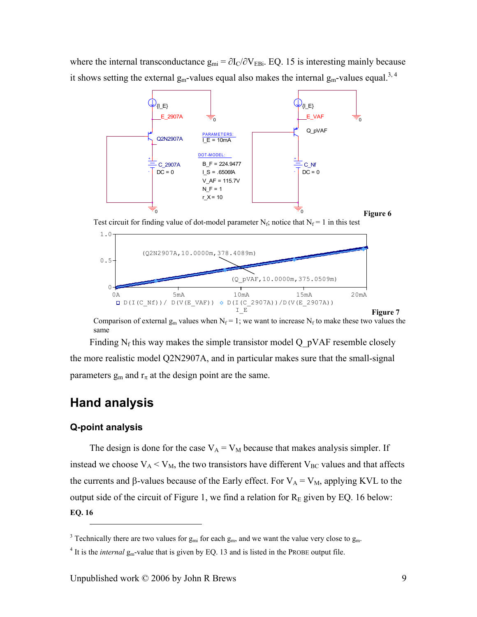where the internal transconductance  $g_{mi} = \partial I_C / \partial V_{EBi}$ . [EQ. 15](#page-7-0) is interesting mainly because it shows setting the external  $g_m$ -values equal also makes the internal  $g_m$ -values equal.<sup>3, 4</sup>



Test circuit for finding value of dot-model parameter  $N_f$ ; notice that  $N_f = 1$  in this test

<span id="page-8-0"></span>

Comparison of external  $g_m$  values when  $N_f = 1$ ; we want to increase  $N_f$  to make these two values the same

Finding  $N_f$  this way makes the simple transistor model Q pVAF resemble closely the more realistic model Q2N2907A, and in particular makes sure that the small-signal parameters  $g_m$  and  $r_\pi$  at the design point are the same.

# **Hand analysis**

### **Q-point analysis**

1

The design is done for the case  $V_A = V_M$  because that makes analysis simpler. If instead we choose  $V_A < V_M$ , the two transistors have different  $V_{BC}$  values and that affects the currents and β-values because of the Early effect. For  $V_A = V_M$ , applying KVL to the output side of the circuit of Figure 1, we find a relation for  $R<sub>E</sub>$  given by EQ. 16 below: **EQ. 16** 

<span id="page-8-1"></span><sup>&</sup>lt;sup>3</sup> Technically there are two values for  $g_{mi}$  for each  $g_m$ , and we want the value very close to  $g_m$ .

<span id="page-8-2"></span> $4$  It is the *internal*  $g_m$ -value that is given by EQ. 13 and is listed in the PROBE output file.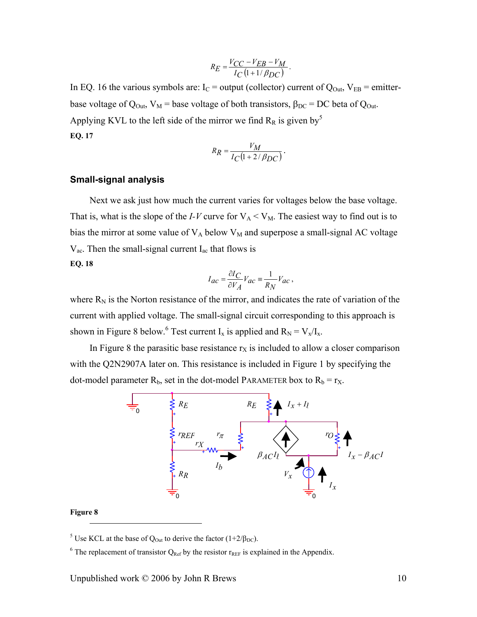$$
R_E = \frac{V_{CC} - V_{EB} - V_M}{I_C \left(1 + 1/\beta_{DC}\right)}
$$

.

<span id="page-9-0"></span>In EQ. 16 the various symbols are:  $I_C$  [=](#page-9-0) output (collector) current of  $Q_{Out}$ ,  $V_{EB}$  = emitterbase voltage of Q<sub>Out</sub>, V<sub>M</sub> = base voltage of both transistors,  $\beta_{DC}$  = DC beta of Q<sub>Out</sub>. Applying KVL to the left side of the mirror we find  $R_R$  is given by<sup>5</sup> **E[Q. 17](#page-9-0)**

$$
R_R = \frac{V_M}{I_C(1 + 2/\beta_{DC})}.
$$

### **Small-signal analysis**

Next we ask just how much the current varies for voltages below the base voltage. That is, what is the slope of the *I-V* curve for  $V_A < V_M$ . The easiest way to find out is to bias the mirror at some value of  $V_A$  below  $V_M$  and superpose a small-signal AC voltage  $V_{ac}$ . Then the small-signal current  $I_{ac}$  that flows is

### **EQ. 18**

$$
I_{ac} = \frac{\partial I_C}{\partial V_A} V_{ac} = \frac{1}{R_N} V_{ac} \,,
$$

where  $R_N$  is the Norton resistance of the mirror, and indicates the rate of variation of the current with applied voltage. The small-signal circuit corresponding to this approach is shown in Figure 8 below.<sup>6</sup> Test current  $I_x$  is applied and  $R_N = V_x/I_x$ .

In Figure 8 the parasitic base resistance  $r<sub>X</sub>$  is included to allow a closer comparison with the Q2N2907A later on. This resistance is included in Figure 1 by specifying the dot-mo[del paramet](#page-10-0)er  $R_b$ , [se](#page-9-1)t in the dot-model PARAMETER box to  $R_b = r_X$ .



#### **Figure 8**

1

<sup>5</sup> Use KCL at the base of Q<sub>Out</sub> to derive the factor (1+2/ $\beta_{\text{DC}}$ ).

<span id="page-9-1"></span><sup>&</sup>lt;sup>6</sup> The replacement of transistor  $Q_{Ref}$  by the resistor  $r_{REF}$  is explained in the Appendix.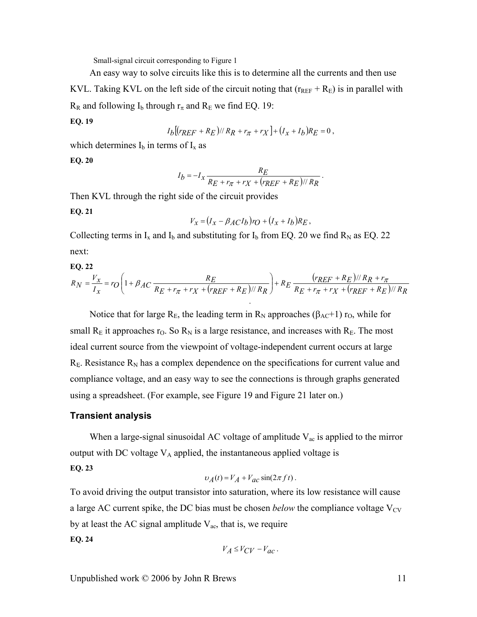Small-signal circuit corresponding to Figure 1

An easy way to solve circuits like this is to determine all the currents and then use

KVL. Taking KVL on the left side of the circuit noting that  $(r_{REF} + R_E)$  is in parallel with  $R_R$  and following I<sub>b</sub> through  $r_{\pi}$  and  $R_E$  we find EQ. 19:

$$
EQ.19
$$

$$
I_b[(r_{REF} + R_E)/R_R + r_{\pi} + r_X] + (I_x + I_b)R_E = 0,
$$

which determines  $I_b$  in terms of  $I_x$  as

<span id="page-10-0"></span>**EQ. 20** 

$$
I_b = -I_x \frac{R_E}{R_E + r_{\pi} + r_X + (r_{REF} + R_E)//R_R}
$$

.

Then KVL through the right side of the circuit provides

**EQ. 21** 

$$
V_x = (I_x - \beta_A C I_b) r_O + (I_x + I_b) R_E,
$$

<span id="page-10-1"></span>Collecting terms in  $I_x$  and  $I_b$  and substituting for  $I_b$  from EQ. 20 we find  $R_N$  as EQ. 22 next:

$$
EQ. 22
$$

<span id="page-10-2"></span>
$$
R_N = \frac{V_x}{I_x} = r_O \left( 1 + \beta_{AC} \frac{R_E}{R_E + r_{\pi} + r_X + (r_{REF} + R_E) / / R_R} \right) + R_E \frac{(r_{REF} + R_E) / / R_R + r_{\pi}}{R_E + r_{\pi} + r_X + (r_{REF} + R_E) / / R_R}
$$

Notice that for large  $R_E$ , the leading term in  $R_N$  approaches ( $\beta_{AC}+1$ ) r<sub>O</sub>, while for small  $R_E$  it approaches  $r_O$ . So  $R_N$  is a large resistance, and increases with  $R_E$ . The most ideal current source from the viewpoint of voltage-independent current occurs at large  $R<sub>E</sub>$ . Resistance  $R<sub>N</sub>$  has a complex dependence on the spe[cificatio](#page-10-2)ns for current [value an](#page-10-3)d compliance voltage, and an easy way to see the connections is through graphs generated using a spreadsheet. (For example, see Figure 19 and Figure 21 later on.)

### <span id="page-10-3"></span>**Transient analysis**

When a large-signal sinusoidal AC voltage of amplitude  $V_{ac}$  is applied to the mirror output with DC voltage  $V_A$  applied, the instantaneous applied voltage is

**EQ. 23** 

$$
v_A(t) = V_A + V_{ac} \sin(2\pi f t).
$$

To avoid driving the output transistor into saturation, where its low resistance will cause a large AC current spike, the DC bias must be chosen *below* the compliance voltage  $V_{CV}$ by at least the AC signal amplitude  $V_{ac}$ , that is, we require **EQ. 24** 

$$
V_A \leq V_{CV} - V_{ac} \, .
$$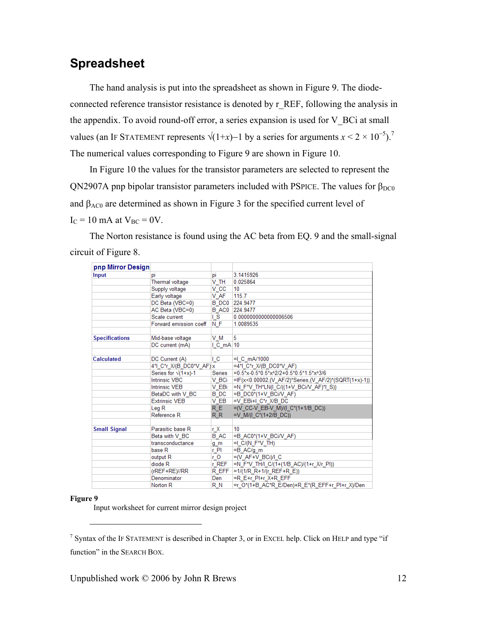# **Spreadsheet**

The hand analysis is put into the spreadsheet as shown in Figure 9. The diodeconnected reference transistor resistance is denoted by r\_REF, following the analysis in the appendix. To avoid round-off error, a series expansion is used for V\_BCi at small values (an IF STATEMENT represents  $\sqrt{(1+x)}$  by a series for arguments  $x < 2 \times 10^{-5}$ ).<sup>7</sup> The numerical values corresponding to Figure 9 are shown in Figure 10.

<span id="page-11-0"></span>In Figure 10 the values for the transistor parameters are selected to represent the QN2907A pnp bipolar transistor parameters included with PSPICE. The values for β<sub>DC0</sub> and  $\beta_{AC0}$  are determined as shown in Figure 3 for the specified current level of  $I_C = 10$  mA at  $V_{BC} = 0V$ .

The Norton resistance is found using the AC beta from E[Q. 9 and t](#page-12-0)he small-signal circuit of Figure 8.

| pnp Mirror Design     |                              |                |                                                       |
|-----------------------|------------------------------|----------------|-------------------------------------------------------|
| Input                 | рi                           | pi             | 3.1415926                                             |
|                       | Thermal voltage              | V TH           | 0.025864                                              |
|                       | Supply voltage               | v cc           | 10                                                    |
|                       | Early voltage                | V AF           | 115.7                                                 |
|                       | DC Beta (VBC=0)              |                | B DC0 224.9477                                        |
|                       | AC Beta (VBC=0)              | B AC0          | 224.9477                                              |
|                       | Scale current                | $\overline{S}$ | 0.0000000000000006506                                 |
|                       | Forward emission coeff       | N F            | 1.0089535                                             |
| <b>Specifications</b> | Mid-base voltage             | V M            | 5                                                     |
|                       | DC current (mA)              | $IC$ mA $10$   |                                                       |
|                       |                              |                |                                                       |
| <b>Calculated</b>     | DC Current (A)               | ΙC             | $=$ I C mA/1000                                       |
|                       | 4*I C*r X/(B DC0*V AF) x     |                | $=4$ *I C*r X/(B DC0*V AF)                            |
|                       | Series for $\sqrt{(1+x)}$ -1 | Series         | $=0.5*$ x-0.5*0.5*x^2/2+0.5*0.5*1.5*x^3/6             |
|                       | <b>Intrinsic VBC</b>         | V BCi          | =IF(x<0.00002,(V_AF/2)*Series,(V_AF/2)*(SQRT(1+x)-1)) |
|                       | <b>Intrinsic VEB</b>         | V EBi          | $=N$ F*V TH*LN(I C/((1+V BCi/V AF)*I S))              |
|                       | BetaDC with V BC             | B DC           | =B DC0*(1+V BCi/V AF)                                 |
|                       | <b>Extrinsic VEB</b>         | V EB           | =V EBi+I C*r X/B DC                                   |
|                       | Leg R                        | RE.            | =(V_CC-V_EB-V_M)/(I_C*(1+1/B_DC))                     |
|                       | Reference R                  | RR.            | =V M/(I $C^*(1+2/B$ DC))                              |
|                       |                              |                |                                                       |
| <b>Small Signal</b>   | Parasitic base R             | r X            | 10                                                    |
|                       | Beta with V BC               | <b>B</b> AC    | =B AC0*(1+V BCi/V AF)                                 |
|                       | transconductance             | g m            | $=1$ C/(N F <sup>*</sup> V TH)                        |
|                       | base R                       | r_PI           | $= B AC/q m$                                          |
|                       | output R                     | r O            | $= (V AF+V BG) / 1 C$                                 |
|                       | diode <sub>R</sub>           | r REF          | =N F*V TH/I C/(1+(1/B AC)/(1+r X/r PI))               |
|                       | (rREF+RE)//RR                | R EFF          | = $1/(1/R R+1/(r REF+R E))$                           |
|                       | Denominator                  | Den            | =R E+r PI+r X+R EFF                                   |
|                       | Norton <sub>R</sub>          | R N            | =r O*(1+B AC*R E/Den)+R E*(R EFF+r PI+r X)/Den        |

#### **Figure 9**

1

Input worksheet for current mirror design project

<sup>&</sup>lt;sup>7</sup> Syntax of the IF STATEMENT is described in Chapter 3, or in EXCEL help. Click on HELP and type "if function" in the SEARCH BOX.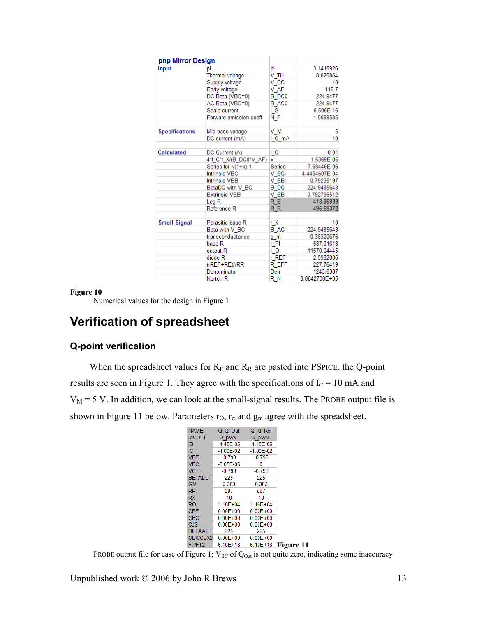<span id="page-12-0"></span>

| pnp Mirror Design     |                        |                   |               |
|-----------------------|------------------------|-------------------|---------------|
| Input                 | pi                     | pi                | 3.1415926     |
|                       | Thermal voltage        | V TH              | 0.025864      |
|                       | Supply voltage         | v cc              | 10            |
|                       | Early voltage          | V AF              | 115.7         |
|                       | DC Beta (VBC=0)        | B DC <sub>0</sub> | 224.9477      |
|                       | AC Beta (VBC=0)        | B AC0             | 224.9477      |
|                       | Scale current          | I S               | 6.506E-16     |
|                       | Forward emission coeff | N F               | 1.0089535     |
| <b>Specifications</b> | Mid-base voltage       | V M               | 5             |
|                       | DC current (mA)        | I C mA            | 10            |
| Calculated            | DC Current (A)         | ĻС                | 0.01          |
|                       | 4*I C*r X/(B DC0*V AF) | x                 | 1.5369E-05    |
|                       | Series for √(1+x)-1    | Series            | 7.68446E-06   |
|                       | <b>Intrinsic VBC</b>   | V BCi             | 4.4454607E-04 |
|                       | <b>Intrinsic VEB</b>   | V EBi             | 0.79235197    |
|                       | BetaDC with V BC       | <b>B</b> DC       | 224.9485643   |
|                       | <b>Extrinsic VEB</b>   | V EB              | 0.792796512   |
|                       | Leg <sub>R</sub>       | R E               | 418.85833     |
|                       | Reference R            | R <sub>R</sub>    | 495.59372     |
| <b>Small Signal</b>   | Parasitic base R       | r X               | 10            |
|                       | Beta with V BC         | <b>B</b> AC       | 224.9485643   |
|                       | transconductance       | g m               | 0.38320676    |
|                       | base R                 | r Pl              | 587.01618     |
|                       | output R               | r O               | 11570.04445   |
|                       | diode R                | $r$ REF           | 2.5982006     |
|                       | (rREF+RE)//RR          | R EFF             | 227.76419     |
|                       | Denominator            | Den               | 1243.6387     |
|                       | Norton <sub>R</sub>    | R N               | 8.8842708E+05 |

#### **Figure 10**

Numerical values for the design in Figure 1

# **Verification of spreadsheet**

## **Q-point verification**

When the spreadsheet values for  $R_E$  and  $R_R$  are pasted into PSPICE, the Q-point results are seen in Figure 1. They agree with the specifications of  $I_c = 10$  mA and  $V_M$  = 5 V. In addition, we can look at the small-signal results. The PROBE output file is shown in Figure 11 below. Parameters  $r<sub>O</sub>$ ,  $r<sub>π</sub>$  and  $g<sub>m</sub>$  agree with the spreadsheet.

| <b>NAME</b>   | Q Q Out       | Q Q Ref       |           |
|---------------|---------------|---------------|-----------|
| <b>MODEL</b>  | Q pVAF        | Q pVAF        |           |
|               |               |               |           |
| IB            | $-4.45E-05$   | $-4.45E-05$   |           |
| IС            | $-1.00E - 02$ | $-1.00E - 02$ |           |
| <b>VBE</b>    | $-0.793$      | $-0.793$      |           |
| <b>VBC</b>    | $-3.05E - 06$ | 0             |           |
| <b>VCF</b>    | $-0.793$      | $-0.793$      |           |
| <b>BETADC</b> | 225           | 225           |           |
| <b>GM</b>     | 0.383         | 0.383         |           |
| <b>RPI</b>    | 587           | 587           |           |
| <b>RX</b>     | 10            | 10            |           |
| <b>RO</b>     | $1.16E + 04$  | $1.16E + 04$  |           |
| <b>CBE</b>    | $0.00E + 00$  | $0.00E + 00$  |           |
| CBC           | $0.00E + 00$  | $0.00E + 00$  |           |
| CJS           | $0.00E + 00$  | $0.00E + 00$  |           |
| <b>BETAAC</b> | 225           | 225           |           |
| CBX/CBX2      | $0.00E + 00$  | $0.00E + 00$  |           |
| FT/FT2        | $6.10E + 18$  | $6.10E + 18$  | Figure 11 |

PROBE output file for case of Figure 1;  $V_{BC}$  of  $Q_{Out}$  is not quite zero, indicating some inaccuracy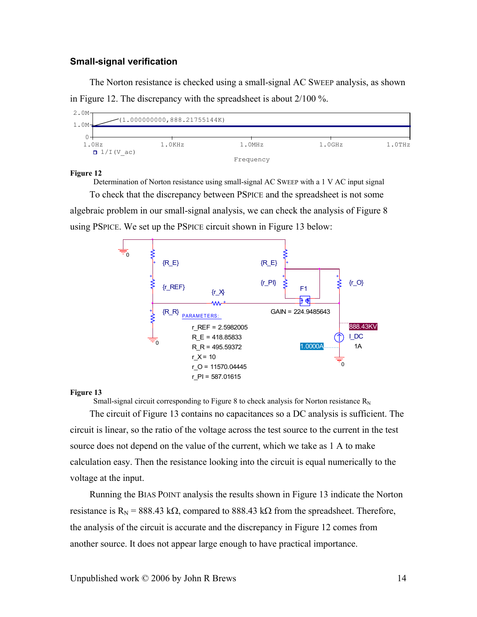### **Small-signal verification**

The Norton resistance is checked using a small-signal AC SWEEP analysis, as shown in Figure 12. The discrepancy with the spreadsheet is about 2/100 %.



#### <span id="page-13-0"></span>**Figure 12**

Determination of Norton resistance using small-signal AC SWEEP with a 1 V AC input signal To check that the discrepancy between PSPICE and the spreadsheet is not some

algebraic problem in our small-signal analysis, we can check the analysis of Figure 8 using PSPICE. We set up the PSPICE circuit shown in Figure 13 below:



#### **Figure 13**

Small-signal circuit corresponding to Figure 8 to check analysis for Norton resistance  $R_N$ 

The circuit of Figure 13 contains no capacitances so a DC analysis is sufficient. The circuit is linear, so the ratio of the voltage across the test source to the current in the test source does not depend on the value of the current, which we take as 1 A to make calculation easy. Then the resistance looking into the circuit is equal numeri[cally to th](#page-10-0)e voltage at the input.

Running the BIAS POINT analysis the results sh[own in Figu](#page-14-0)re 13 indicate the Norton resistance is R<sub>N</sub> = 888.43 kΩ, compared to 888.43 kΩ from the spreadsheet. Therefore, the analysis of the circuit is accurate and the discrepancy in Figure 12 comes from another source. It does not appear large enough to have practical importance.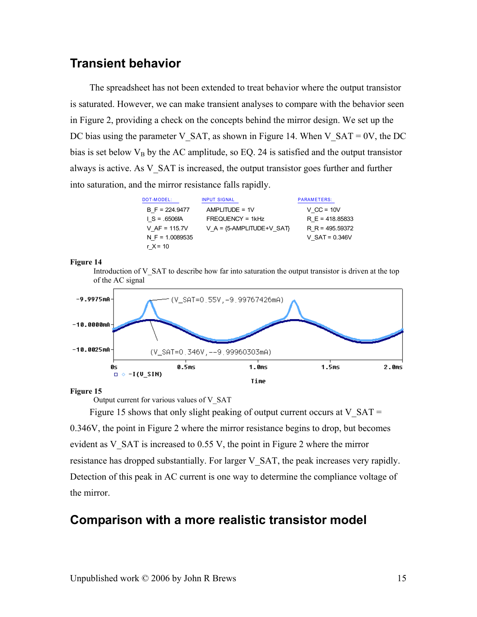# <span id="page-14-0"></span>**Transient behavior**

The spreadsheet has not been extended to treat behavior where the output transistor is saturated. However, we can make transient analyses to compare with the behavior seen in Figure 2, providing a check on the concepts behind the mirror design. We set up the DC bias using the parameter V\_SAT, as shown in Figure 14. When V\_SAT = 0V, the DC bias is set below  $V_B$  by the AC amplitude, so EQ. 24 is satisfied and the output transistor always is active. As V\_SAT is increased, the output transistor goes further and further into saturation, and the mirror resistance falls rapidly.

| DOT-MODEL:        | <b>INPUT SIGNAL</b>         | <b>PARAMETERS:</b> |
|-------------------|-----------------------------|--------------------|
| $B F = 224.9477$  | $AMPLITUDE = 1V$            | $V$ CC = 10V       |
| $I S = .6506fA$   | $FREQUENCY = 1kHz$          | $R E = 418.85833$  |
| V AF = 115.7V     | $V A = {5-AMPLITUDE+V SAT}$ | $R$ R = 495.59372  |
| N F = $1.0089535$ |                             | V SAT = $0.346V$   |
| r $X = 10$        |                             |                    |

**Figure 14** 

Introduction of  $V$  SAT to describe how far into saturation the output transistor is driven at the top of the AC signal



**Figure 15** 

Output current for various values of V\_SAT

Figure 15 shows that only slight peaking of output current occurs at V\_SAT = 0.346V, the point in Figure 2 where the mirror resistance begins to drop, but becomes e[vident as V](#page-1-0)\_SAT is increased to 0.55 V, the point in Figure 2 where the mirror resistance has dropped substantially. For larger V[\\_SAT, the p](#page-15-0)eak increases very rapidly. Detection of this peak in AC current is one w[ay to de](#page-11-0)termine the compliance voltage of the mirror.

## **Comparison with a more realistic transistor model**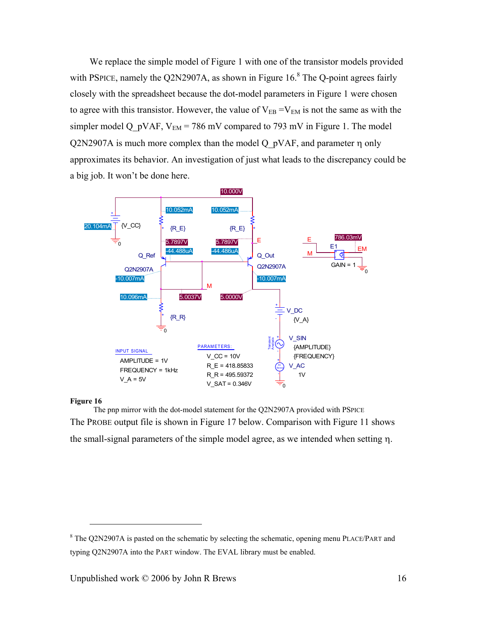<span id="page-15-0"></span>We replace the simple model of Figure 1 with one of the transistor models provided with PSPICE, namely the Q2N2907A, as shown in Figure 16. $8$  The Q-point agrees fairly closely with the spreadsheet because the dot-model parameters in Figure 1 were chosen to agree with this transistor. However, the value of  $V_{EB} = V_{EM}$  is not the same as with the simpler model Q pVAF,  $V_{EM}$  = 786 mV compared to 793 mV in Figure 1. The model  $Q2N2907A$  is much more complex than the model Q  $pVAF$ , and parameter  $\eta$  only approximates its behavior. An investigation of just what leads to the discrepancy could be a big job. It won't be done here.

<span id="page-15-1"></span>

#### **Figure 16**

1

The pnp mirror with the dot-model st[atement for](#page-0-0) the Q2N2907A provided with PSPICE The PROBE output file is shown in Figure 17 belo[w. Compar](#page-16-0)[is](#page-15-2)on with Figure 11 shows the small-signal parameters of the simple model agree, as we inte[nded whe](#page-0-0)n setting η.

<span id="page-15-2"></span> $8$  The Q2N2907A is pasted on the schematic by selecting the schematic, opening menu PLACE/PART and typing Q2N2907A into the PART window. The EVAL library must be enabled.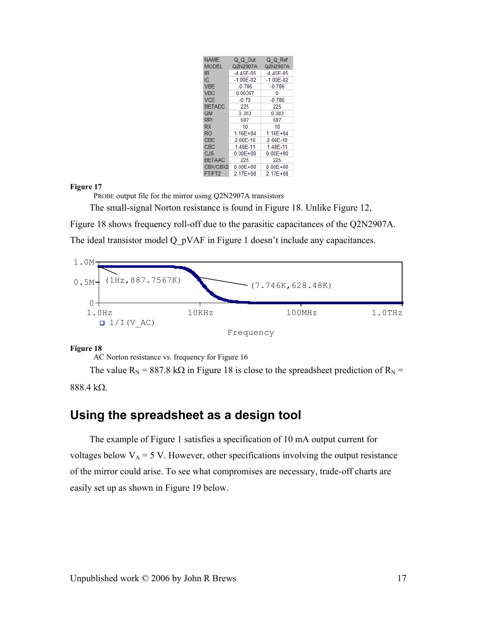| <b>NAME</b>   | Q Q Out       | Q Q Ref       |
|---------------|---------------|---------------|
| <b>MODEL</b>  | Q2N2907A      | Q2N2907A      |
| <b>IB</b>     | $-4.45E-05$   | $-4.45E-05$   |
| IС            | $-1.00E - 02$ | $-1.00E - 02$ |
| <b>VBF</b>    | $-0.786$      | $-0.786$      |
| <b>VBC</b>    | 0.00367       | 0             |
| <b>VCF</b>    | $-0.79$       | $-0.786$      |
| <b>BETADC</b> | 225           | 225           |
| <b>GM</b>     | 0.383         | 0.383         |
| <b>RPI</b>    | 587           | 587           |
| <b>RX</b>     | 10            | 10            |
| RO            | $1.16E + 04$  | $1.16E + 04$  |
| <b>CBE</b>    | 2.66E-10      | 2.66E-10      |
| CBC           | 1.48E-11      | 1.48E-11      |
| <b>CJS</b>    | $0.00E + 00$  | $0.00E + 00$  |
| <b>BETAAC</b> | 225           | 225           |
| CBX/CBX2      | $0.00E + 00$  | $0.00E + 00$  |
| FT/FT2        | 2.17E+08      | $2.17E + 08$  |

<span id="page-16-0"></span>**Figure 17** 

PROBE output file for the mirror using Q2N2907A transistors

The small-signal Norton resistance is found in Figure 18. Unlike Figure 12,

Figure 18 shows frequency roll-off due to the parasitic capacitances of the Q2N2907A.

The ideal transistor model Q pVAF in Figure 1 doesn't include any capacitances.



<span id="page-16-1"></span>**Figure 18** 

AC Norton resistance vs. frequency for Figure 16

The value  $R_N$  = 887.8 k $\Omega$  in Figure 18 is close to the spreadsheet prediction of  $R_N$  = 888.4 kΩ.

## **Using the spreadsheet as a design tool**

The example of Figure 1 satisfies a specification of 10 mA output current for voltages below  $V_A = 5$  V. However, other specifications involving the output resistance of the mirror could arise. To see what compromises are necessary, trade-off charts are easily set up as shown in Figure 19 below.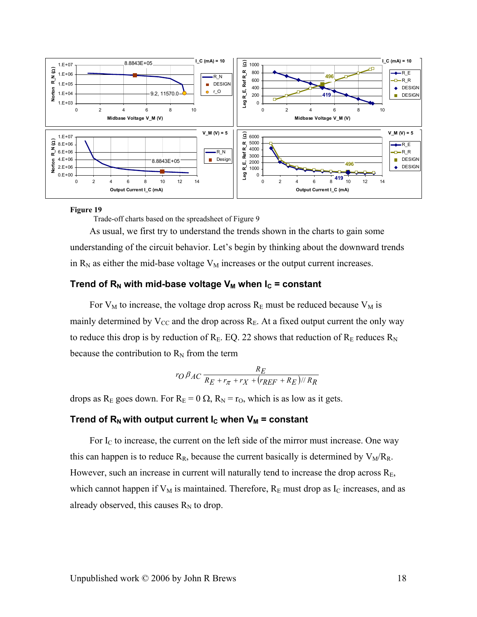<span id="page-17-1"></span>

#### **Figure 19**

Trade-off charts based on the spreadsheet of Figure 9

As usual, we first try to understand the trends shown in the charts to gain some understanding of the [circuit be](#page-0-0)havior. Let's begin by thinking about the downward trends in  $R_N$  as either the mid-base voltage  $V_M$  increases or the output current increases.

## Trend of  $R_N$  with mid[-base volt](#page-17-0)age  $V_M$  when  $I_C$  = constant

<span id="page-17-0"></span>For  $V_M$  to increase, the voltage drop across  $R_E$  must be reduced because  $V_M$  is mainly determined by  $V_{CC}$  and the drop across  $R_E$ . At a fixed output current the only way to reduce this drop is by reduction of  $R_E$ . EQ. 22 shows that reduction of  $R_E$  reduces  $R_N$ because the contribution to  $R_N$  from the term

$$
r_O \beta_{AC} \frac{R_E}{R_E + r_{\pi} + r_X + (r_{REF} + R_E)//R_R}
$$

drops as R<sub>E</sub> goes down. For R<sub>E</sub> = 0  $\Omega$ , R<sub>N</sub> = r<sub>O</sub>, which is as low as it gets.

### Trend of  $R_N$  with output current  $I_C$  when  $V_M$  = constant

For  $I_c$  to increase, the current on the left side of the mirror must increase. One way this can happen is to reduce  $R_R$ , because the current basically is determined by  $V_M/R_R$ . However, such an increase in current will n[aturally](#page-12-0) tend to increase the drop across  $R<sub>E</sub>$ , which cannot happen if  $V_M$  is maintained. Therefore,  $R_E$  must drop as  $I_C$  increases, and as already observed, this causes  $R_N$  to drop.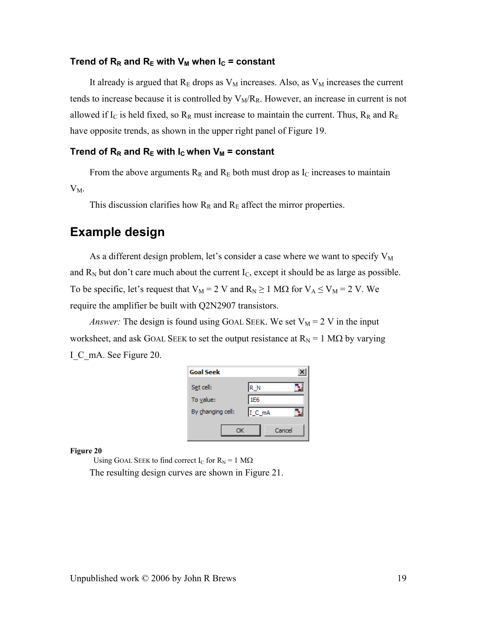### Trend of  $R_R$  and  $R_E$  with  $V_M$  when  $I_C$  = constant

It already is argued that  $R_E$  drops as  $V_M$  increases. Also, as  $V_M$  increases the current tends to increase because it is controlled by  $V_M/R_R$ . However, an increase in current is not allowed if I<sub>C</sub> is held fixed, so  $R_R$  must in[crease to](#page-10-3) maintain the current. Thus,  $R_R$  and  $R_E$ have opposite trends, as shown in the upper right panel of Figure 19.

### Trend of  $R_R$  and  $R_E$  with  $I_C$  when  $V_M$  = constant

From the above arguments  $R_R$  and  $R_E$  both must drop as I<sub>C</sub> increases to maintain

 $V_M$ .

This discussion clarifies how  $R_R$  and  $R_E$  affect the mirror properties.

# **Example design**

As a different design problem, let's consider a case where we want to specify  $V_M$ and  $R_N$  but don't care much about the current  $I_C$ , except it should be as large as possible. To be specific, let's request that  $V_M = 2$  V and  $R_N \ge 1$  M $\Omega$  for  $V_A \le V_M = 2$  V. We require the amplifier be built with Q2N2907 transistors.

*Answer:* The design is found using GOAL SEEK. We set  $V_M = 2$  V in the input worksheet, and ask GOAL SEEK to set the output resistance at  $R_N = 1 M\Omega$  by varying I\_C\_mA. See Figure 20.

| <b>Goal Seek</b>  |        |
|-------------------|--------|
| Set cell:         | R_N    |
| To value:         | 1E6    |
| By changing cell: | I_C_mA |
| ОК                | Cancel |

**Figure 20** 

Using GOAL SEEK to find correct I<sub>C</sub> for  $R_N = 1$  M $\Omega$ The resulting design curves are shown in Figure 21.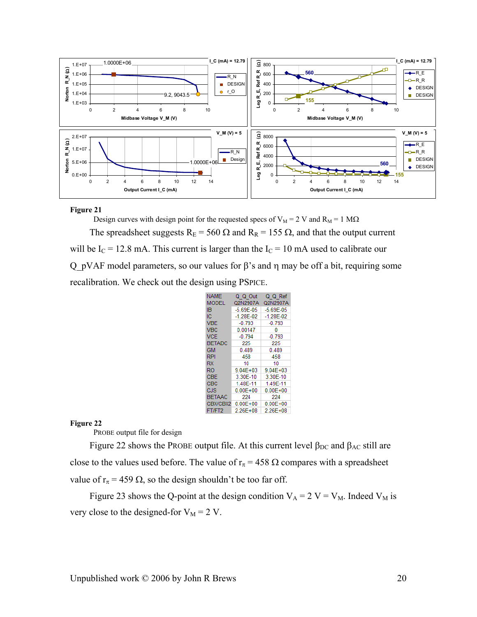

#### **Figure 21**

<span id="page-19-0"></span>Design curves with design point for the requested specs of  $V_M = 2 V$  and  $R_M = 1 M\Omega$ The spreadsheet suggests  $R_E = 560 \Omega$  and  $R_R = 155 \Omega$ , and that the output current will be  $I_c = 12.8$  mA. This current is larger than the  $I_c = 10$  mA used to calibrate our Q\_pVAF model parameters, so our values for β's and η may be off a bit, requiring some recalibration. We check out the design using PSPICE.

| <b>NAME</b>   | Q Q Out       | Q Q Ref       |
|---------------|---------------|---------------|
| <b>MODEL</b>  | Q2N2907A      | Q2N2907A      |
| IΒ            | $-5.69E - 05$ | $-5.69E - 05$ |
| IС            | $-1.28E - 02$ | $-1.28E - 02$ |
| <b>VBE</b>    | $-0.793$      | $-0.793$      |
| <b>VBC</b>    | 0.00147       | ٥             |
| <b>VCE</b>    | $-0.794$      | $-0.793$      |
| <b>BETADC</b> | 225           | 225           |
| GM            | 0.489         | 0.489         |
| <b>RPI</b>    | 458           | 458           |
| <b>RX</b>     | 10            | 10            |
| RO            | $9.04E + 03$  | $9.04E + 03$  |
| CBE           | 3.30E-10      | 3.30E-10      |
| CBC           | 1.48E-11      | 1.49E-11      |
| CJS           | $0.00E + 00$  | $0.00E + 00$  |
| <b>BETAAC</b> | 224           | 224           |
| CBX/CBX2      | $0.00E + 00$  | $0.00E + 00$  |
| FT/FT2        | 2.26E+08      | 2.26E+08      |

#### **Figure 22**

PROBE output file for design

Figure 22 shows the PROBE output file. At this current level  $\beta_{DC}$  and  $\beta_{AC}$  still are close to the values used before. The value of  $r_{\pi}$  = 458  $\Omega$  compares with a spreadsheet value of  $r_{\pi}$  = 459  $\Omega$ , so the design shouldn't be too far off.

Figure 23 shows the Q-point at the design condition  $V_A = 2$  V =  $V_M$ . Indeed  $V_M$  is very close to the designed-for  $V_M = 2 V$ .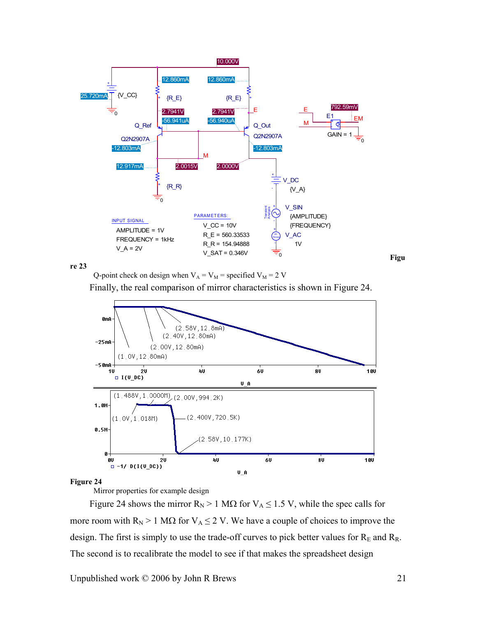

**re 23** 

Q-point check on design when  $V_A = V_M$  = specified  $V_M$  = 2 V

Finally, the real comparison of mirror characteristics is shown in Figure 24.



#### **Figure 24**

Mirror properties for example design

Figure 24 shows the mirror  $R_N > 1$  M $\Omega$  for  $V_A \le 1.5$  V, while the spec calls for more room with  $R_N > 1$  M $\Omega$  for  $V_A \le 2$  V. We have a couple of choic[es to impro](#page-21-0)ve the design. The first is simply to use the trade-off curves to pick better values for  $R_E$  and  $R_R$ . The second is to recalibrate the model to see if that makes the spreadsheet design

Unpublished work  $\odot$  2006 by John R Brews 21

**Figu**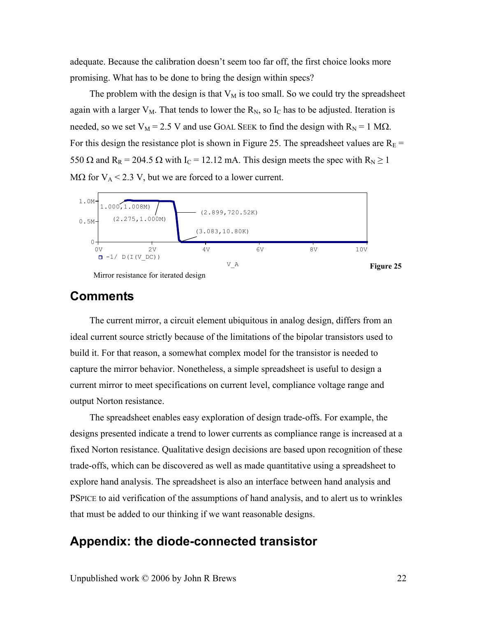<span id="page-21-0"></span>adequate. Because the calibration doesn't seem too far off, the first choice looks more promising. What has to be done to bring the design within specs?

The problem with the design is that  $V_M$  is too small. So we could try the spreadsheet again with a larger  $V_M$ . That tends to lower the  $R_N$ , so  $I_C$  has to be adjusted. Iteration is needed, so we set  $V_M = 2.5$  V and use GOAL SEEK to find the design with  $R_N = 1$  M $\Omega$ . For this design the resistance plot is shown in Figure 25. The spreadsheet values are  $R_E$  = 550  $\Omega$  and R<sub>R</sub> = 204.5  $\Omega$  with I<sub>C</sub> = 12.12 mA. This design meets the spec with R<sub>N</sub>  $\geq$  1 M $\Omega$  for  $V_A < 2.3$  V, but we are forced to a lower current.



Mirror resistance for iterated design

**Figure 25** 

## **Comments**

The current mirror, a circuit element ubiquitous in analog design, differs from an ideal current source strictly because of the limitations of the bipolar transistors used to build it. For that reason, a somewhat complex model for the transistor is needed to capture the mirror behavior. Nonetheless, a simple spreadsheet is useful to design a current mirror to meet specifications on current level, compliance voltage range and output Norton resistance.

<span id="page-21-1"></span>The spreadsheet enables easy exploratio[n of design](#page-21-1) trade-offs. For example, the designs presented indicate a trend to lower currents as compliance range is increased at a fixed Norton resistance. Qualitative design decisions are based upon recognition of these trade-offs, which can be discovered as well as made quantitative using a spreadsheet to explore hand analysis. The spreadsheet is also an interface between hand analysis and PSPICE to aid verification of the assumptions of hand analysis, and to alert us to wrinkles that must be added to our thinking if we want reasonable designs.

# **Appendix: the diode-connected transistor**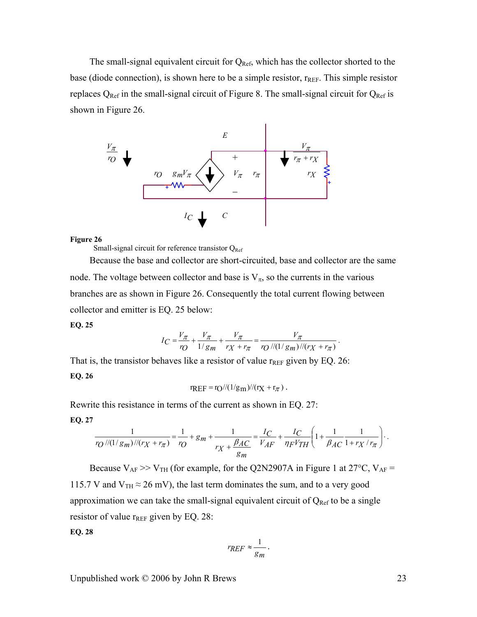The small-signal equivalent circuit for  $Q_{Ref}$ , which has the collector shorted to the base (diode connection), is shown here to be a simple resistor,  $r_{REF}$ . This simple resistor replaces  $Q_{Ref}$  in the small-signal circuit of Figure 8. The small-signal circuit for  $Q_{Ref}$  is shown in Figure 26.



#### **Figure 26**

Small-signal circuit for reference transistor  $Q_{Ref}$ 

Because the base and collector are short-circuited, base and collector are the same node. The voltage between collector and base is  $V_{\pi}$ , so the currents in the various branches are as shown in Figure 26. Consequently the total current flowing between collector and emitter is EQ. 25 below:

#### **EQ. 25**

$$
I_C = \frac{V_{\pi}}{r_O} + \frac{V_{\pi}}{1/g_m} + \frac{V_{\pi}}{r_X + r_{\pi}} = \frac{V_{\pi}}{r_O / \sqrt{(1/g_m) / (r_X + r_{\pi})}}.
$$

That is, the transistor behaves like a resist[or of valu](#page-10-0)e  $r_{REF}$  given by EQ. 26: **EQ. 26** 

$$
r_{REF} = r_O //(1/g_m) //(r_X + r_\pi).
$$

Rewrite this resist[ance in terms of the current as shown in EQ. 27:](#page-22-0)  **EQ. 27** 

$$
\frac{1}{r_O} \frac{1}{\sqrt{(1/g_m)}/(r_X + r_\pi)} = \frac{1}{r_O} + g_m + \frac{1}{r_X + \frac{\beta_{AC}}{g_m}} = \frac{I_C}{V_{AF}} + \frac{I_C}{\eta_F V_{TH}} \left(1 + \frac{1}{\beta_{AC}} \frac{1}{1 + r_X / r_\pi}\right).
$$

Because  $V_{AF}$  >>  $V_{TH}$  (for example, for the Q2N2907A in Figure 1 at 27 $^{\circ}$ C,  $V_{AF}$  = 115.7 V and  $V_{TH} \approx 26$  mV), the last term dominates the sum, and to a very good approximation we can take the small-signal equivalent circuit of  $Q_{Ref}$  to be a single resistor of value  $r_{REF}$  given by EQ. 28:

<span id="page-22-0"></span>**EQ. 28** 

$$
r_{REF}\approx\frac{1}{g_m}.
$$

Unpublished work  $\odot$  2006 by John R Brews 23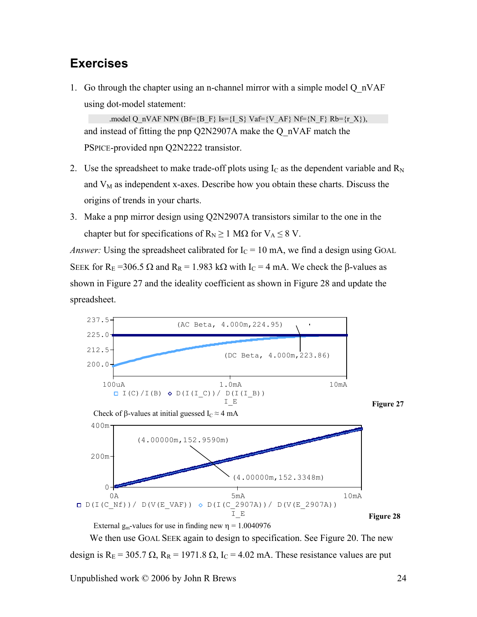# **Exercises**

<span id="page-23-0"></span>1. Go through the cha[pter usin](#page-23-0)g an n-channel mirror with a simple model Q\_nVAF using dot-model statement:

.model Q\_nVAF NPN (Bf={B\_F} Is={I\_S} Vaf={V\_AF} Nf={N\_F} Rb={r\_X}), and instead of fitting the pnp Q2N2907A make the Q\_nVAF [match the](#page-23-1) PSPICE-provided npn Q2N2222 transistor.

- <span id="page-23-2"></span><span id="page-23-1"></span>2. Use the spreadsheet to make trade-off plots using  $I_c$  a[s the dep](#page-23-2)endent variable and  $R_N$ and  $V_M$  as independent x-axes. Describe how you obtain these charts. Discuss the origins of trends in your charts.
- 3. Make a pnp mirror design using Q2N2907A transistors similar to the one in the chapter but for specifications of  $R_N \ge 1$  M $\Omega$  for  $V_A \le 8$  V.

*Answer:* Using the spreadsheet calibrated for  $I_C = 10$  mA, we find a design using GOAL SEEK for R<sub>E</sub> =306.5 Ω and R<sub>R</sub> = 1.983 kΩ with I<sub>C</sub> = 4 mA. We check the β-values as shown in Figure 27 and the id[eality co](#page-23-3)efficient as shown in Figure 28 and update the spreadsheet.

<span id="page-23-3"></span>

We then use GOAL SEEK again to design to specification. See Figure 20. The new design is  $R_E = 305.7 \Omega$ ,  $R_R = 1971.8 \Omega$ ,  $I_C = 4.02 \text{ mA}$ . These resistance values are put

Unpublished work  $\odot$  2006 by John R Brews 24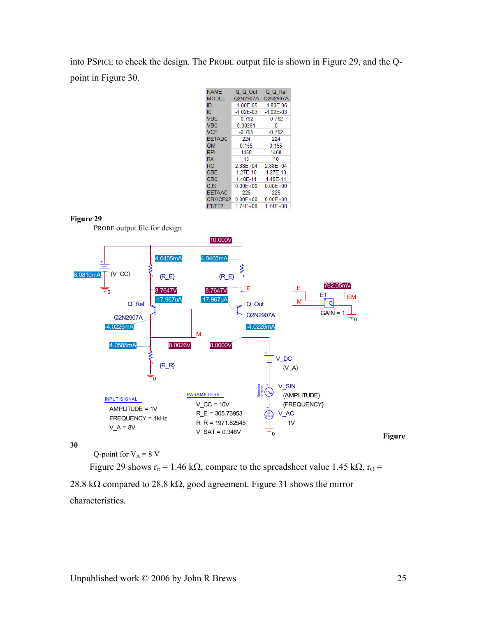<span id="page-24-0"></span>into PSPI[CE to check](#page-24-0) the design. The PROBE output file is s[hown in Fig](#page-24-1)ure 29, and the Qpoint in Figure 30.

| <b>NAME</b>   | Q Q Out       | Q Q Ref       |
|---------------|---------------|---------------|
| <b>MODEL</b>  | Q2N2907A      | Q2N2907A      |
| ΙB            | $-1.80E - 05$ | $-1.80E - 05$ |
| IС            | $-4.02E - 03$ | $-4.02E - 03$ |
| <b>VBE</b>    | $-0.762$      | $-0.762$      |
| <b>VBC</b>    | 0.00261       | 0             |
| <b>VCE</b>    | $-0.765$      | $-0.762$      |
| <b>BETADC</b> | 224           | 224           |
| GM            | 0.155         | 0.155         |
| <b>RPI</b>    | 1460          | 1460          |
| <b>RX</b>     | 10            | 10            |
| RO            | $2.88E + 04$  | 2.88E+04      |
| CBE           | 1.27E-10      | 1.27E-10      |
| CBC           | 1.48E-11      | 1.48E-11      |
| CJS           | $0.00E + 00$  | $0.00E + 00$  |
| <b>BETAAC</b> | 226           | 226           |
| CBX/CBX2      | $0.00E + 00$  | $0.00E + 00$  |
| FT/FT2        | 174F+08       | 174F+08       |

<span id="page-24-1"></span>



<span id="page-24-2"></span>**30** 

Q-point for  $V_A = 8$  V

Figure 29 shows r<sub>π</sub> = 1.46 kΩ, compare to the spreadsheet value 1.45 kΩ, r<sub>O</sub> = 28.8 kΩ compared to 28.8 kΩ, good agreement. Figure 31 shows the mirror characteristics.